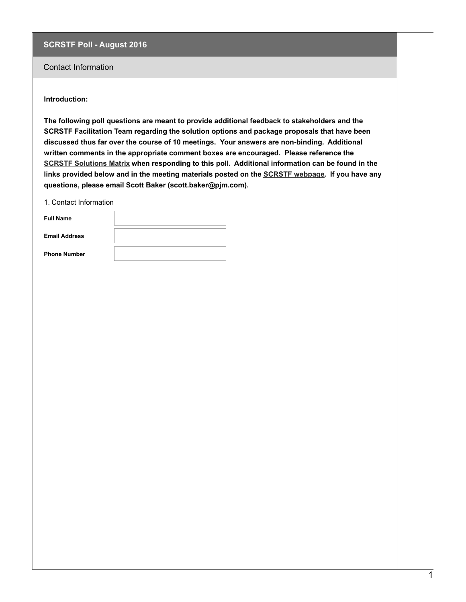## Contact Information

#### **Introduction:**

**The following poll questions are meant to provide additional feedback to stakeholders and the SCRSTF Facilitation Team regarding the solution options and package proposals that have been discussed thus far over the course of 10 meetings. Your answers are non-binding. Additional written comments in the appropriate comment boxes are encouraged. Please reference the SCRSTF Solutions Matrix when responding to this poll. Additional information can be found in the links provided below and in the meeting materials posted on the SCRSTF webpage. If you have any questions, please email Scott Baker (scott.baker@pjm.com).**

1. Contact Information

| <b>Full Name</b>     |  |
|----------------------|--|
| <b>Email Address</b> |  |
| <b>Phone Number</b>  |  |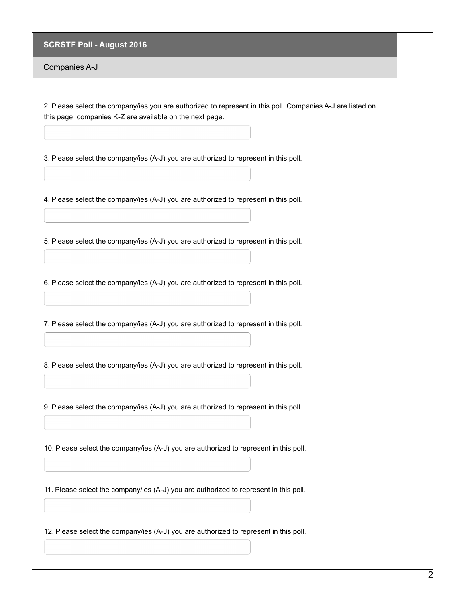Companies A-J

2. Please select the company/ies you are authorized to represent in this poll. Companies A-J are listed on this page; companies K-Z are available on the next page.

3. Please select the company/ies (A-J) you are authorized to represent in this poll.

4. Please select the company/ies (A-J) you are authorized to represent in this poll.

5. Please select the company/ies (A-J) you are authorized to represent in this poll.

6. Please select the company/ies (A-J) you are authorized to represent in this poll.

7. Please select the company/ies (A-J) you are authorized to represent in this poll.

8. Please select the company/ies (A-J) you are authorized to represent in this poll.

9. Please select the company/ies (A-J) you are authorized to represent in this poll.

10. Please select the company/ies (A-J) you are authorized to represent in this poll.

11. Please select the company/ies (A-J) you are authorized to represent in this poll.

12. Please select the company/ies (A-J) you are authorized to represent in this poll.

 $\overline{2}$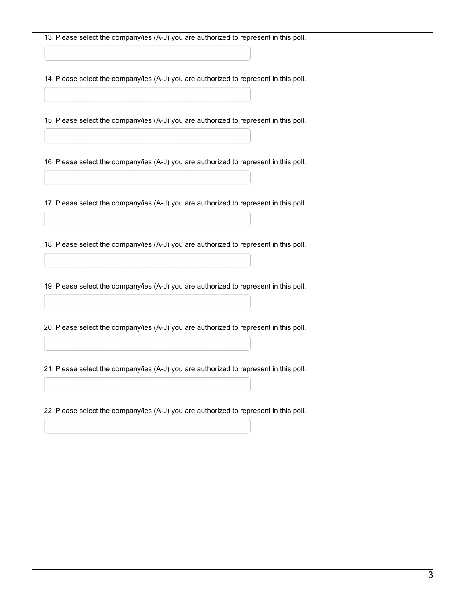13. Please select the company/ies (A-J) you are authorized to represent in this poll.

14. Please select the company/ies (A-J) you are authorized to represent in this poll.

15. Please select the company/ies (A-J) you are authorized to represent in this poll.

16. Please select the company/ies (A-J) you are authorized to represent in this poll.

17. Please select the company/ies (A-J) you are authorized to represent in this poll.

18. Please select the company/ies (A-J) you are authorized to represent in this poll.

19. Please select the company/ies (A-J) you are authorized to represent in this poll.

20. Please select the company/ies (A-J) you are authorized to represent in this poll.

21. Please select the company/ies (A-J) you are authorized to represent in this poll.

22. Please select the company/ies (A-J) you are authorized to represent in this poll.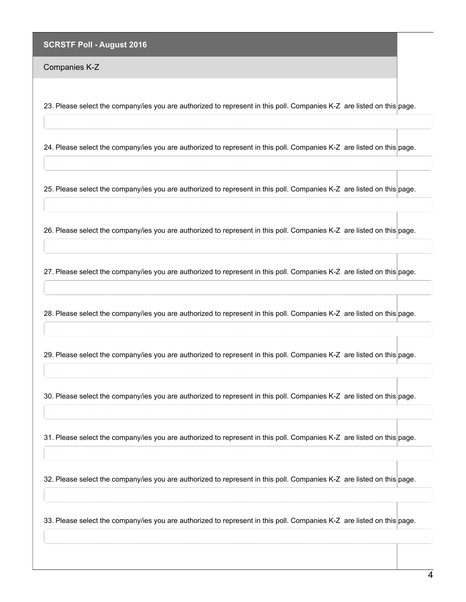Companies K-Z

23. Please select the company/ies you are authorized to represent in this poll. Companies K-Z are listed on this page.

24. Please select the company/ies you are authorized to represent in this poll. Companies K-Z are listed on this page.

25. Please select the company/ies you are authorized to represent in this poll. Companies K-Z are listed on this page.

26. Please select the company/ies you are authorized to represent in this poll. Companies K-Z are listed on this page.

27. Please select the company/ies you are authorized to represent in this poll. Companies K-Z are listed on this page.

28. Please select the company/ies you are authorized to represent in this poll. Companies K-Z are listed on this page.

29. Please select the company/ies you are authorized to represent in this poll. Companies K-Z are listed on this page.

30. Please select the company/ies you are authorized to represent in this poll. Companies K-Z are listed on this page.

31. Please select the company/ies you are authorized to represent in this poll. Companies K-Z are listed on this page.

32. Please select the company/ies you are authorized to represent in this poll. Companies K-Z are listed on this page.

33. Please select the company/ies you are authorized to represent in this poll. Companies K-Z are listed on this page.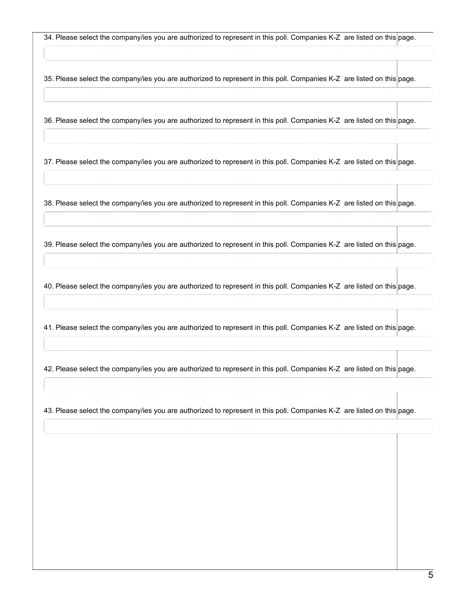34. Please select the company/ies you are authorized to represent in this poll. Companies K-Z are listed on this page.

35. Please select the company/ies you are authorized to represent in this poll. Companies K-Z are listed on this page.

36. Please select the company/ies you are authorized to represent in this poll. Companies K-Z are listed on this page.

37. Please select the company/ies you are authorized to represent in this poll. Companies K-Z are listed on this page.

38. Please select the company/ies you are authorized to represent in this poll. Companies K-Z are listed on this page.

39. Please select the company/ies you are authorized to represent in this poll. Companies K-Z are listed on this page.

40. Please select the company/ies you are authorized to represent in this poll. Companies K-Z are listed on this page.

41. Please select the company/ies you are authorized to represent in this poll. Companies K-Z are listed on this page.

42. Please select the company/ies you are authorized to represent in this poll. Companies K-Z are listed on this page.

43. Please select the company/ies you are authorized to represent in this poll. Companies K-Z are listed on this page.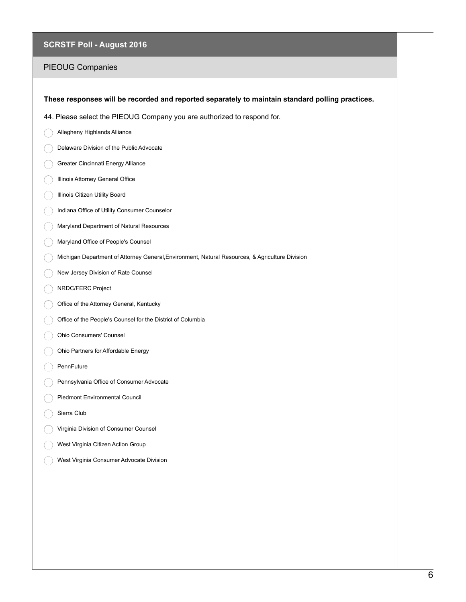# PIEOUG Companies

| These responses will be recorded and reported separately to maintain standard polling practices. |  |
|--------------------------------------------------------------------------------------------------|--|
| 44. Please select the PIEOUG Company you are authorized to respond for.                          |  |
|                                                                                                  |  |
| Allegheny Highlands Alliance                                                                     |  |
| Delaware Division of the Public Advocate                                                         |  |
| Greater Cincinnati Energy Alliance                                                               |  |
| Illinois Attorney General Office                                                                 |  |
| Illinois Citizen Utility Board                                                                   |  |
| Indiana Office of Utility Consumer Counselor                                                     |  |
| Maryland Department of Natural Resources                                                         |  |
| Maryland Office of People's Counsel                                                              |  |
| Michigan Department of Attorney General, Environment, Natural Resources, & Agriculture Division  |  |
| New Jersey Division of Rate Counsel                                                              |  |
| NRDC/FERC Project                                                                                |  |
| Office of the Attorney General, Kentucky                                                         |  |
| Office of the People's Counsel for the District of Columbia                                      |  |
| Ohio Consumers' Counsel                                                                          |  |
| Ohio Partners for Affordable Energy                                                              |  |
| PennFuture                                                                                       |  |
| Pennsylvania Office of Consumer Advocate                                                         |  |
| Piedmont Environmental Council                                                                   |  |
| Sierra Club                                                                                      |  |
| Virginia Division of Consumer Counsel                                                            |  |
| West Virginia Citizen Action Group                                                               |  |
| West Virginia Consumer Advocate Division                                                         |  |
|                                                                                                  |  |
|                                                                                                  |  |
|                                                                                                  |  |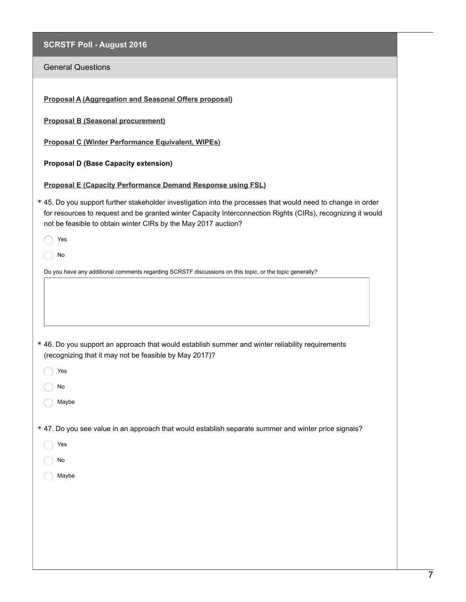| <b>SCRSTF Poll - August 2016</b>                                                                                                                                                                                                                                                              |
|-----------------------------------------------------------------------------------------------------------------------------------------------------------------------------------------------------------------------------------------------------------------------------------------------|
| <b>General Questions</b>                                                                                                                                                                                                                                                                      |
| Proposal A (Aggregation and Seasonal Offers proposal)                                                                                                                                                                                                                                         |
| <b>Proposal B (Seasonal procurement)</b>                                                                                                                                                                                                                                                      |
| Proposal C (Winter Performance Equivalent, WIPEs)                                                                                                                                                                                                                                             |
| <b>Proposal D (Base Capacity extension)</b>                                                                                                                                                                                                                                                   |
| <b>Proposal E (Capacity Performance Demand Response using FSL)</b>                                                                                                                                                                                                                            |
| * 45. Do you support further stakeholder investigation into the processes that would need to change in order<br>for resources to request and be granted winter Capacity Interconnection Rights (CIRs), recognizing it would<br>not be feasible to obtain winter CIRs by the May 2017 auction? |
| Yes                                                                                                                                                                                                                                                                                           |
| No                                                                                                                                                                                                                                                                                            |
| Do you have any additional comments regarding SCRSTF discussions on this topic, or the topic generally?                                                                                                                                                                                       |
|                                                                                                                                                                                                                                                                                               |
| * 46. Do you support an approach that would establish summer and winter reliability requirements<br>(recognizing that it may not be feasible by May 2017)?                                                                                                                                    |
| Yes                                                                                                                                                                                                                                                                                           |
| No                                                                                                                                                                                                                                                                                            |
| Maybe                                                                                                                                                                                                                                                                                         |
| * 47. Do you see value in an approach that would establish separate summer and winter price signals?                                                                                                                                                                                          |
| Yes                                                                                                                                                                                                                                                                                           |
| No                                                                                                                                                                                                                                                                                            |
| Maybe                                                                                                                                                                                                                                                                                         |
|                                                                                                                                                                                                                                                                                               |
|                                                                                                                                                                                                                                                                                               |
|                                                                                                                                                                                                                                                                                               |
|                                                                                                                                                                                                                                                                                               |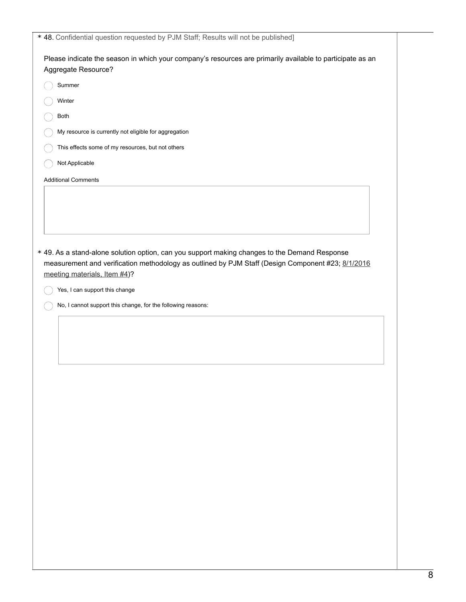| Summer<br>Winter<br>Both<br>My resource is currently not eligible for aggregation<br>This effects some of my resources, but not others<br>Not Applicable<br>Yes, I can support this change<br>No, I cannot support this change, for the following reasons: | Please indicate the season in which your company's resources are primarily available to participate as an<br>Aggregate Resource?<br><b>Additional Comments</b><br>* 49. As a stand-alone solution option, can you support making changes to the Demand Response<br>measurement and verification methodology as outlined by PJM Staff (Design Component #23; 8/1/2016<br>meeting materials, Item #4)? |  |
|------------------------------------------------------------------------------------------------------------------------------------------------------------------------------------------------------------------------------------------------------------|------------------------------------------------------------------------------------------------------------------------------------------------------------------------------------------------------------------------------------------------------------------------------------------------------------------------------------------------------------------------------------------------------|--|
|                                                                                                                                                                                                                                                            |                                                                                                                                                                                                                                                                                                                                                                                                      |  |
|                                                                                                                                                                                                                                                            |                                                                                                                                                                                                                                                                                                                                                                                                      |  |
|                                                                                                                                                                                                                                                            |                                                                                                                                                                                                                                                                                                                                                                                                      |  |
|                                                                                                                                                                                                                                                            |                                                                                                                                                                                                                                                                                                                                                                                                      |  |
|                                                                                                                                                                                                                                                            |                                                                                                                                                                                                                                                                                                                                                                                                      |  |
|                                                                                                                                                                                                                                                            |                                                                                                                                                                                                                                                                                                                                                                                                      |  |
|                                                                                                                                                                                                                                                            |                                                                                                                                                                                                                                                                                                                                                                                                      |  |
|                                                                                                                                                                                                                                                            |                                                                                                                                                                                                                                                                                                                                                                                                      |  |
|                                                                                                                                                                                                                                                            |                                                                                                                                                                                                                                                                                                                                                                                                      |  |
|                                                                                                                                                                                                                                                            |                                                                                                                                                                                                                                                                                                                                                                                                      |  |
|                                                                                                                                                                                                                                                            |                                                                                                                                                                                                                                                                                                                                                                                                      |  |
|                                                                                                                                                                                                                                                            |                                                                                                                                                                                                                                                                                                                                                                                                      |  |
|                                                                                                                                                                                                                                                            |                                                                                                                                                                                                                                                                                                                                                                                                      |  |
|                                                                                                                                                                                                                                                            |                                                                                                                                                                                                                                                                                                                                                                                                      |  |
|                                                                                                                                                                                                                                                            |                                                                                                                                                                                                                                                                                                                                                                                                      |  |
|                                                                                                                                                                                                                                                            |                                                                                                                                                                                                                                                                                                                                                                                                      |  |
|                                                                                                                                                                                                                                                            |                                                                                                                                                                                                                                                                                                                                                                                                      |  |
|                                                                                                                                                                                                                                                            |                                                                                                                                                                                                                                                                                                                                                                                                      |  |
|                                                                                                                                                                                                                                                            |                                                                                                                                                                                                                                                                                                                                                                                                      |  |
|                                                                                                                                                                                                                                                            |                                                                                                                                                                                                                                                                                                                                                                                                      |  |
|                                                                                                                                                                                                                                                            |                                                                                                                                                                                                                                                                                                                                                                                                      |  |
|                                                                                                                                                                                                                                                            |                                                                                                                                                                                                                                                                                                                                                                                                      |  |
|                                                                                                                                                                                                                                                            |                                                                                                                                                                                                                                                                                                                                                                                                      |  |
|                                                                                                                                                                                                                                                            |                                                                                                                                                                                                                                                                                                                                                                                                      |  |
|                                                                                                                                                                                                                                                            |                                                                                                                                                                                                                                                                                                                                                                                                      |  |
|                                                                                                                                                                                                                                                            |                                                                                                                                                                                                                                                                                                                                                                                                      |  |
|                                                                                                                                                                                                                                                            |                                                                                                                                                                                                                                                                                                                                                                                                      |  |
|                                                                                                                                                                                                                                                            |                                                                                                                                                                                                                                                                                                                                                                                                      |  |
|                                                                                                                                                                                                                                                            |                                                                                                                                                                                                                                                                                                                                                                                                      |  |
|                                                                                                                                                                                                                                                            |                                                                                                                                                                                                                                                                                                                                                                                                      |  |
|                                                                                                                                                                                                                                                            |                                                                                                                                                                                                                                                                                                                                                                                                      |  |
|                                                                                                                                                                                                                                                            |                                                                                                                                                                                                                                                                                                                                                                                                      |  |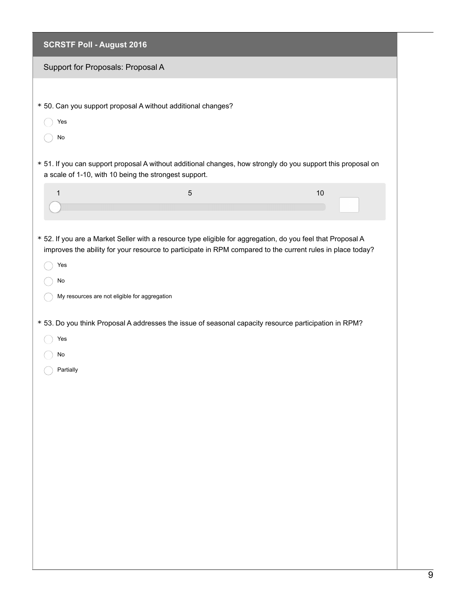| <b>SCRSTF Poll - August 2016</b>              |                                                                                                       |                                                                                                                                                                                                                           |  |
|-----------------------------------------------|-------------------------------------------------------------------------------------------------------|---------------------------------------------------------------------------------------------------------------------------------------------------------------------------------------------------------------------------|--|
| Support for Proposals: Proposal A             |                                                                                                       |                                                                                                                                                                                                                           |  |
| Yes<br>No                                     | * 50. Can you support proposal A without additional changes?                                          |                                                                                                                                                                                                                           |  |
|                                               | a scale of 1-10, with 10 being the strongest support.                                                 | * 51. If you can support proposal A without additional changes, how strongly do you support this proposal on                                                                                                              |  |
| 1                                             | 5                                                                                                     | 10                                                                                                                                                                                                                        |  |
|                                               |                                                                                                       | * 52. If you are a Market Seller with a resource type eligible for aggregation, do you feel that Proposal A<br>improves the ability for your resource to participate in RPM compared to the current rules in place today? |  |
| Yes<br>No                                     |                                                                                                       |                                                                                                                                                                                                                           |  |
| My resources are not eligible for aggregation |                                                                                                       |                                                                                                                                                                                                                           |  |
| Yes                                           | * 53. Do you think Proposal A addresses the issue of seasonal capacity resource participation in RPM? |                                                                                                                                                                                                                           |  |
| No<br>Partially                               |                                                                                                       |                                                                                                                                                                                                                           |  |
|                                               |                                                                                                       |                                                                                                                                                                                                                           |  |
|                                               |                                                                                                       |                                                                                                                                                                                                                           |  |
|                                               |                                                                                                       |                                                                                                                                                                                                                           |  |
|                                               |                                                                                                       |                                                                                                                                                                                                                           |  |
|                                               |                                                                                                       |                                                                                                                                                                                                                           |  |
|                                               |                                                                                                       |                                                                                                                                                                                                                           |  |
|                                               |                                                                                                       |                                                                                                                                                                                                                           |  |
|                                               |                                                                                                       |                                                                                                                                                                                                                           |  |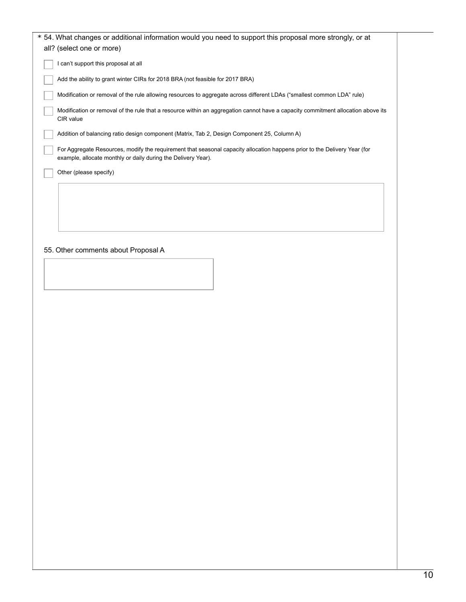| * 54. What changes or additional information would you need to support this proposal more strongly, or at<br>all? (select one or more)                                                     |
|--------------------------------------------------------------------------------------------------------------------------------------------------------------------------------------------|
| I can't support this proposal at all                                                                                                                                                       |
| Add the ability to grant winter CIRs for 2018 BRA (not feasible for 2017 BRA)                                                                                                              |
| Modification or removal of the rule allowing resources to aggregate across different LDAs ("smallest common LDA" rule)                                                                     |
| Modification or removal of the rule that a resource within an aggregation cannot have a capacity commitment allocation above its<br>CIR value                                              |
| Addition of balancing ratio design component (Matrix, Tab 2, Design Component 25, Column A)                                                                                                |
| For Aggregate Resources, modify the requirement that seasonal capacity allocation happens prior to the Delivery Year (for<br>example, allocate monthly or daily during the Delivery Year). |
| Other (please specify)                                                                                                                                                                     |
|                                                                                                                                                                                            |
|                                                                                                                                                                                            |

### 55. Other comments about Proposal A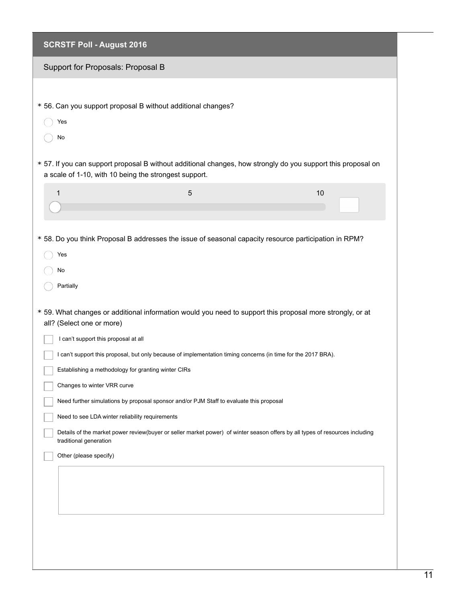| <b>SCRSTF Poll - August 2016</b>                      |                                                                                                               |                                                                                                                              |  |
|-------------------------------------------------------|---------------------------------------------------------------------------------------------------------------|------------------------------------------------------------------------------------------------------------------------------|--|
| Support for Proposals: Proposal B                     |                                                                                                               |                                                                                                                              |  |
|                                                       |                                                                                                               |                                                                                                                              |  |
|                                                       | * 56. Can you support proposal B without additional changes?                                                  |                                                                                                                              |  |
| Yes                                                   |                                                                                                               |                                                                                                                              |  |
| No                                                    |                                                                                                               |                                                                                                                              |  |
| a scale of 1-10, with 10 being the strongest support. |                                                                                                               | * 57. If you can support proposal B without additional changes, how strongly do you support this proposal on                 |  |
| 1                                                     | 5                                                                                                             | 10                                                                                                                           |  |
|                                                       |                                                                                                               |                                                                                                                              |  |
| Yes<br>No<br>Partially                                |                                                                                                               |                                                                                                                              |  |
| all? (Select one or more)                             |                                                                                                               | * 59. What changes or additional information would you need to support this proposal more strongly, or at                    |  |
| I can't support this proposal at all                  |                                                                                                               |                                                                                                                              |  |
| Establishing a methodology for granting winter CIRs   | I can't support this proposal, but only because of implementation timing concerns (in time for the 2017 BRA). |                                                                                                                              |  |
| Changes to winter VRR curve                           |                                                                                                               |                                                                                                                              |  |
|                                                       | Need further simulations by proposal sponsor and/or PJM Staff to evaluate this proposal                       |                                                                                                                              |  |
| Need to see LDA winter reliability requirements       |                                                                                                               |                                                                                                                              |  |
| traditional generation                                |                                                                                                               | Details of the market power review(buyer or seller market power) of winter season offers by all types of resources including |  |
| Other (please specify)                                |                                                                                                               |                                                                                                                              |  |
|                                                       |                                                                                                               |                                                                                                                              |  |
|                                                       |                                                                                                               |                                                                                                                              |  |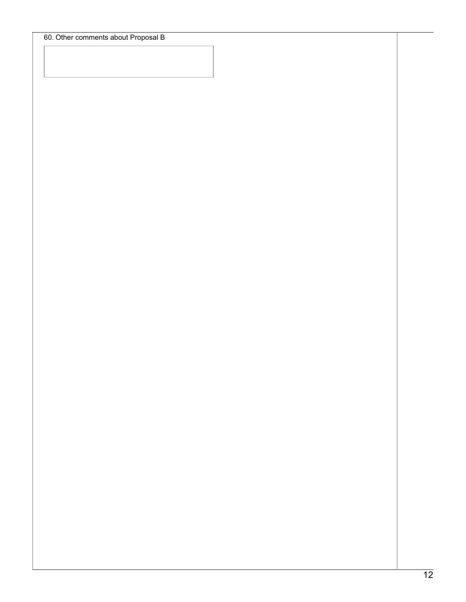60. Other comments about Proposal B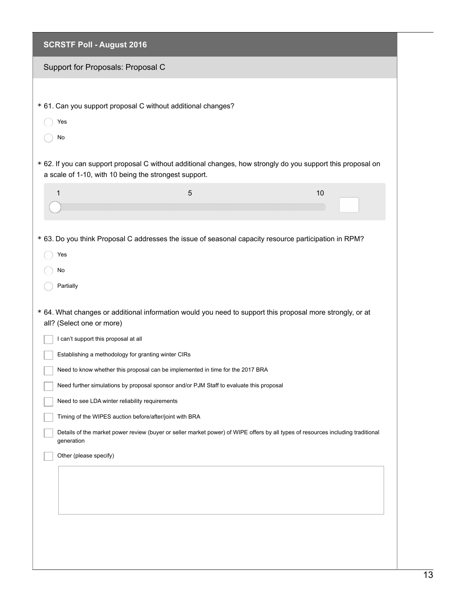| <b>SCRSTF Poll - August 2016</b>                             |                                                                                         |                                                                                                                                  |  |
|--------------------------------------------------------------|-----------------------------------------------------------------------------------------|----------------------------------------------------------------------------------------------------------------------------------|--|
| Support for Proposals: Proposal C                            |                                                                                         |                                                                                                                                  |  |
|                                                              |                                                                                         |                                                                                                                                  |  |
| * 61. Can you support proposal C without additional changes? |                                                                                         |                                                                                                                                  |  |
| Yes                                                          |                                                                                         |                                                                                                                                  |  |
| No                                                           |                                                                                         |                                                                                                                                  |  |
| a scale of 1-10, with 10 being the strongest support.        |                                                                                         | * 62. If you can support proposal C without additional changes, how strongly do you support this proposal on                     |  |
| 1                                                            | $\overline{5}$                                                                          | 10                                                                                                                               |  |
|                                                              |                                                                                         |                                                                                                                                  |  |
|                                                              |                                                                                         |                                                                                                                                  |  |
|                                                              |                                                                                         | * 63. Do you think Proposal C addresses the issue of seasonal capacity resource participation in RPM?                            |  |
| Yes                                                          |                                                                                         |                                                                                                                                  |  |
| No<br>Partially                                              |                                                                                         |                                                                                                                                  |  |
|                                                              |                                                                                         |                                                                                                                                  |  |
| all? (Select one or more)                                    |                                                                                         | * 64. What changes or additional information would you need to support this proposal more strongly, or at                        |  |
| I can't support this proposal at all                         |                                                                                         |                                                                                                                                  |  |
| Establishing a methodology for granting winter CIRs          |                                                                                         |                                                                                                                                  |  |
|                                                              | Need to know whether this proposal can be implemented in time for the 2017 BRA          |                                                                                                                                  |  |
|                                                              | Need further simulations by proposal sponsor and/or PJM Staff to evaluate this proposal |                                                                                                                                  |  |
| Need to see LDA winter reliability requirements              |                                                                                         |                                                                                                                                  |  |
| Timing of the WIPES auction before/after/joint with BRA      |                                                                                         |                                                                                                                                  |  |
| generation                                                   |                                                                                         | Details of the market power review (buyer or seller market power) of WIPE offers by all types of resources including traditional |  |
| Other (please specify)                                       |                                                                                         |                                                                                                                                  |  |
|                                                              |                                                                                         |                                                                                                                                  |  |
|                                                              |                                                                                         |                                                                                                                                  |  |
|                                                              |                                                                                         |                                                                                                                                  |  |
|                                                              |                                                                                         |                                                                                                                                  |  |
|                                                              |                                                                                         |                                                                                                                                  |  |
|                                                              |                                                                                         |                                                                                                                                  |  |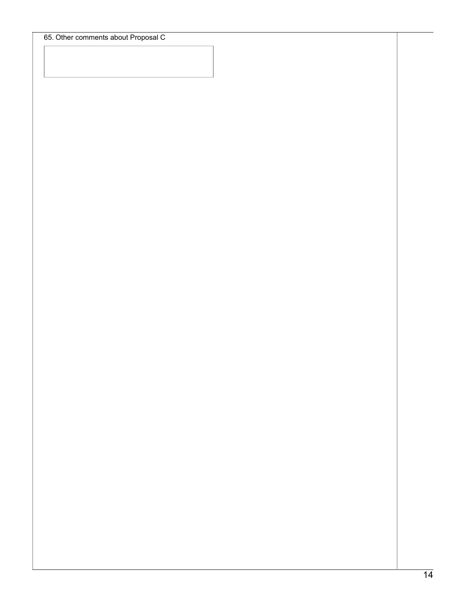65. Other comments about Proposal C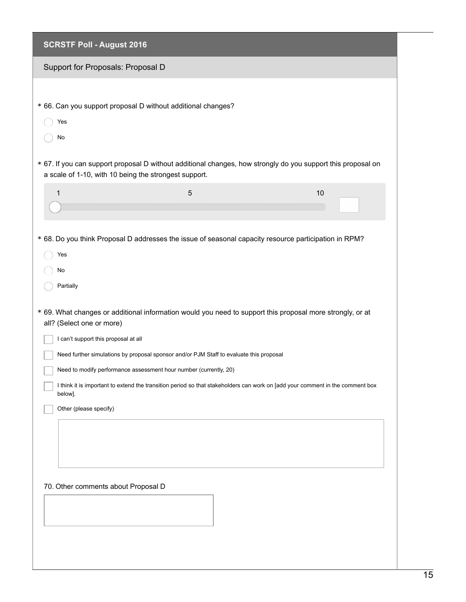| <b>SCRSTF Poll - August 2016</b>                             |                                                                                         |                                                                                                                               |
|--------------------------------------------------------------|-----------------------------------------------------------------------------------------|-------------------------------------------------------------------------------------------------------------------------------|
| Support for Proposals: Proposal D                            |                                                                                         |                                                                                                                               |
|                                                              |                                                                                         |                                                                                                                               |
| * 66. Can you support proposal D without additional changes? |                                                                                         |                                                                                                                               |
| Yes                                                          |                                                                                         |                                                                                                                               |
| No                                                           |                                                                                         |                                                                                                                               |
| a scale of 1-10, with 10 being the strongest support.        |                                                                                         | * 67. If you can support proposal D without additional changes, how strongly do you support this proposal on                  |
| 1                                                            | 5                                                                                       | 10                                                                                                                            |
|                                                              |                                                                                         |                                                                                                                               |
| Yes                                                          |                                                                                         | * 68. Do you think Proposal D addresses the issue of seasonal capacity resource participation in RPM?                         |
| No                                                           |                                                                                         |                                                                                                                               |
| Partially                                                    |                                                                                         |                                                                                                                               |
| all? (Select one or more)                                    |                                                                                         | * 69. What changes or additional information would you need to support this proposal more strongly, or at                     |
| I can't support this proposal at all                         |                                                                                         |                                                                                                                               |
|                                                              | Need further simulations by proposal sponsor and/or PJM Staff to evaluate this proposal |                                                                                                                               |
|                                                              | Need to modify performance assessment hour number (currently, 20)                       |                                                                                                                               |
| below].                                                      |                                                                                         | I think it is important to extend the transition period so that stakeholders can work on [add your comment in the comment box |
| Other (please specify)                                       |                                                                                         |                                                                                                                               |
|                                                              |                                                                                         |                                                                                                                               |
|                                                              |                                                                                         |                                                                                                                               |
|                                                              |                                                                                         |                                                                                                                               |
| 70. Other comments about Proposal D                          |                                                                                         |                                                                                                                               |
|                                                              |                                                                                         |                                                                                                                               |
|                                                              |                                                                                         |                                                                                                                               |
|                                                              |                                                                                         |                                                                                                                               |
|                                                              |                                                                                         |                                                                                                                               |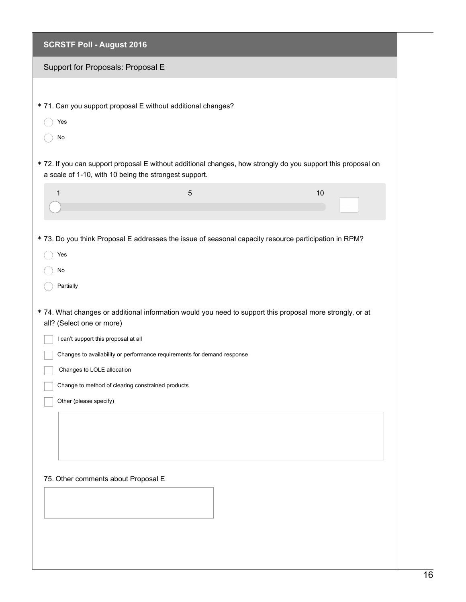| <b>SCRSTF Poll - August 2016</b>                      |                                                                         |                                                                                                              |  |
|-------------------------------------------------------|-------------------------------------------------------------------------|--------------------------------------------------------------------------------------------------------------|--|
| Support for Proposals: Proposal E                     |                                                                         |                                                                                                              |  |
|                                                       |                                                                         |                                                                                                              |  |
|                                                       | * 71. Can you support proposal E without additional changes?            |                                                                                                              |  |
| Yes                                                   |                                                                         |                                                                                                              |  |
| No                                                    |                                                                         |                                                                                                              |  |
| a scale of 1-10, with 10 being the strongest support. |                                                                         | * 72. If you can support proposal E without additional changes, how strongly do you support this proposal on |  |
| 1                                                     | $\sqrt{5}$                                                              | 10                                                                                                           |  |
|                                                       |                                                                         |                                                                                                              |  |
| Yes<br>No<br>Partially                                |                                                                         | * 73. Do you think Proposal E addresses the issue of seasonal capacity resource participation in RPM?        |  |
| all? (Select one or more)                             |                                                                         | * 74. What changes or additional information would you need to support this proposal more strongly, or at    |  |
| I can't support this proposal at all                  | Changes to availability or performance requirements for demand response |                                                                                                              |  |
| Changes to LOLE allocation                            |                                                                         |                                                                                                              |  |
| Change to method of clearing constrained products     |                                                                         |                                                                                                              |  |
| Other (please specify)                                |                                                                         |                                                                                                              |  |
|                                                       |                                                                         |                                                                                                              |  |
| 75. Other comments about Proposal E                   |                                                                         |                                                                                                              |  |
|                                                       |                                                                         |                                                                                                              |  |
|                                                       |                                                                         |                                                                                                              |  |
|                                                       |                                                                         |                                                                                                              |  |
|                                                       |                                                                         |                                                                                                              |  |
|                                                       |                                                                         |                                                                                                              |  |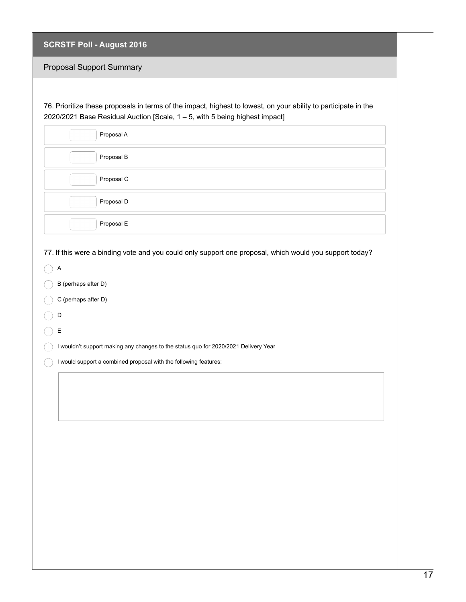| <b>SCRSTF Poll - August 2016</b> |  |  |
|----------------------------------|--|--|
|                                  |  |  |

## Proposal Support Summary

76. Prioritize these proposals in terms of the impact, highest to lowest, on your ability to participate in the 2020/2021 Base Residual Auction [Scale, 1 – 5, with 5 being highest impact]

| Proposal A |  |
|------------|--|
| Proposal B |  |
| Proposal C |  |
| Proposal D |  |
| Proposal E |  |

77. If this were a binding vote and you could only support one proposal, which would you support today?

| А                   |
|---------------------|
| B (perhaps after D) |

- C (perhaps after D)
- D  $\bigcap$
- $\bigcirc$  E

I wouldn't support making any changes to the status quo for 2020/2021 Delivery Year

 $\bigcirc$  I would support a combined proposal with the following features: